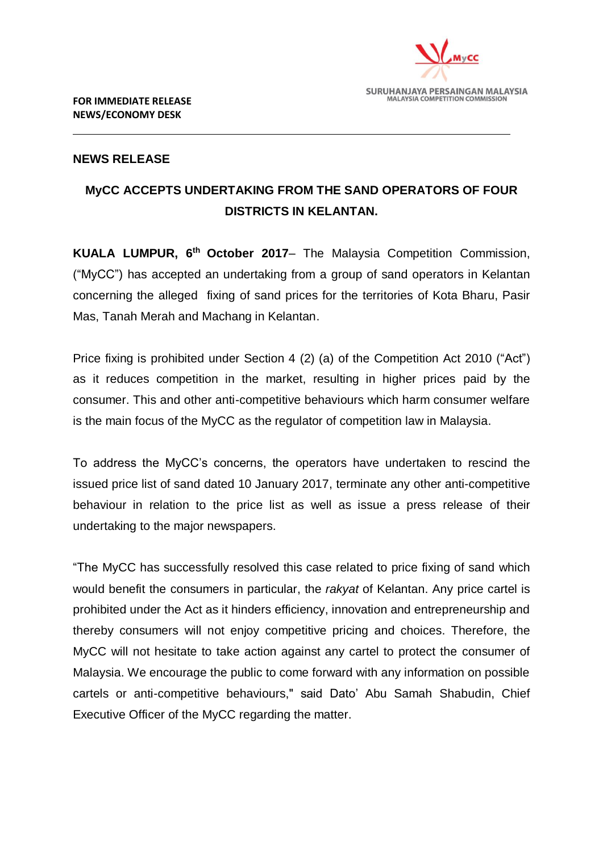

## **NEWS RELEASE**

# **MyCC ACCEPTS UNDERTAKING FROM THE SAND OPERATORS OF FOUR DISTRICTS IN KELANTAN.**

**KUALA LUMPUR, 6 th October 2017**– The Malaysia Competition Commission, ("MyCC") has accepted an undertaking from a group of sand operators in Kelantan concerning the alleged fixing of sand prices for the territories of Kota Bharu, Pasir Mas, Tanah Merah and Machang in Kelantan.

Price fixing is prohibited under Section 4 (2) (a) of the Competition Act 2010 ("Act") as it reduces competition in the market, resulting in higher prices paid by the consumer. This and other anti-competitive behaviours which harm consumer welfare is the main focus of the MyCC as the regulator of competition law in Malaysia.

To address the MyCC's concerns, the operators have undertaken to rescind the issued price list of sand dated 10 January 2017, terminate any other anti-competitive behaviour in relation to the price list as well as issue a press release of their undertaking to the major newspapers.

"The MyCC has successfully resolved this case related to price fixing of sand which would benefit the consumers in particular, the *rakyat* of Kelantan. Any price cartel is prohibited under the Act as it hinders efficiency, innovation and entrepreneurship and thereby consumers will not enjoy competitive pricing and choices. Therefore, the MyCC will not hesitate to take action against any cartel to protect the consumer of Malaysia. We encourage the public to come forward with any information on possible cartels or anti-competitive behaviours," said Dato' Abu Samah Shabudin, Chief Executive Officer of the MyCC regarding the matter.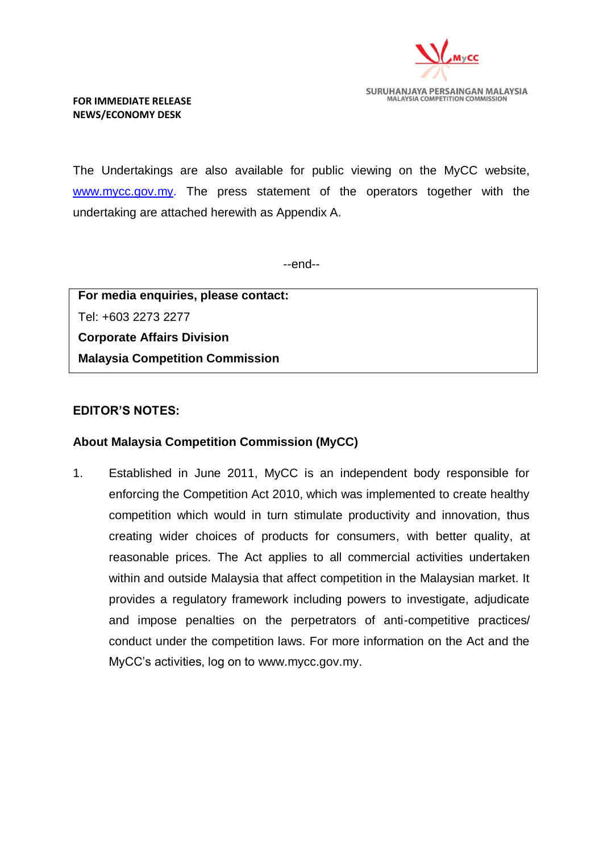

#### **FOR IMMEDIATE RELEASE NEWS/ECONOMY DESK**

The Undertakings are also available for public viewing on the MyCC website, [www.mycc.gov.my.](http://www.mycc.gov.my/) The press statement of the operators together with the undertaking are attached herewith as Appendix A.

--end--

**For media enquiries, please contact:**  Tel: +603 2273 2277 **Corporate Affairs Division Malaysia Competition Commission**

### **EDITOR'S NOTES:**

### **About Malaysia Competition Commission (MyCC)**

1. Established in June 2011, MyCC is an independent body responsible for enforcing the Competition Act 2010, which was implemented to create healthy competition which would in turn stimulate productivity and innovation, thus creating wider choices of products for consumers, with better quality, at reasonable prices. The Act applies to all commercial activities undertaken within and outside Malaysia that affect competition in the Malaysian market. It provides a regulatory framework including powers to investigate, adjudicate and impose penalties on the perpetrators of anti-competitive practices/ conduct under the competition laws. For more information on the Act and the MyCC's activities, log on to [www.mycc.gov.my.](http://www.mycc.gov.my/)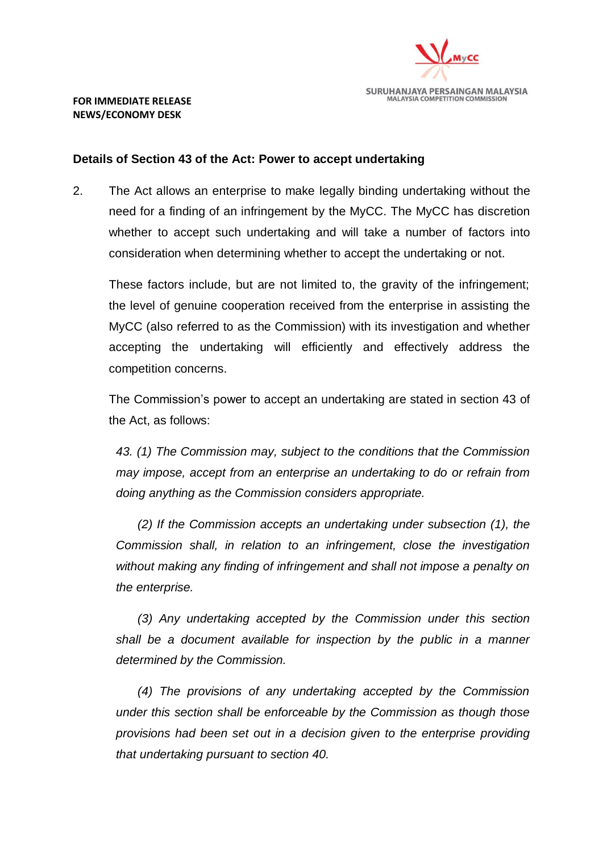

#### **Details of Section 43 of the Act: Power to accept undertaking**

2. The Act allows an enterprise to make legally binding undertaking without the need for a finding of an infringement by the MyCC. The MyCC has discretion whether to accept such undertaking and will take a number of factors into consideration when determining whether to accept the undertaking or not.

These factors include, but are not limited to, the gravity of the infringement; the level of genuine cooperation received from the enterprise in assisting the MyCC (also referred to as the Commission) with its investigation and whether accepting the undertaking will efficiently and effectively address the competition concerns.

The Commission's power to accept an undertaking are stated in section 43 of the Act, as follows:

*43. (1) The Commission may, subject to the conditions that the Commission may impose, accept from an enterprise an undertaking to do or refrain from doing anything as the Commission considers appropriate.*

*(2) If the Commission accepts an undertaking under subsection (1), the Commission shall, in relation to an infringement, close the investigation without making any finding of infringement and shall not impose a penalty on the enterprise.*

*(3) Any undertaking accepted by the Commission under this section shall be a document available for inspection by the public in a manner determined by the Commission.*

*(4) The provisions of any undertaking accepted by the Commission under this section shall be enforceable by the Commission as though those provisions had been set out in a decision given to the enterprise providing that undertaking pursuant to section 40.*